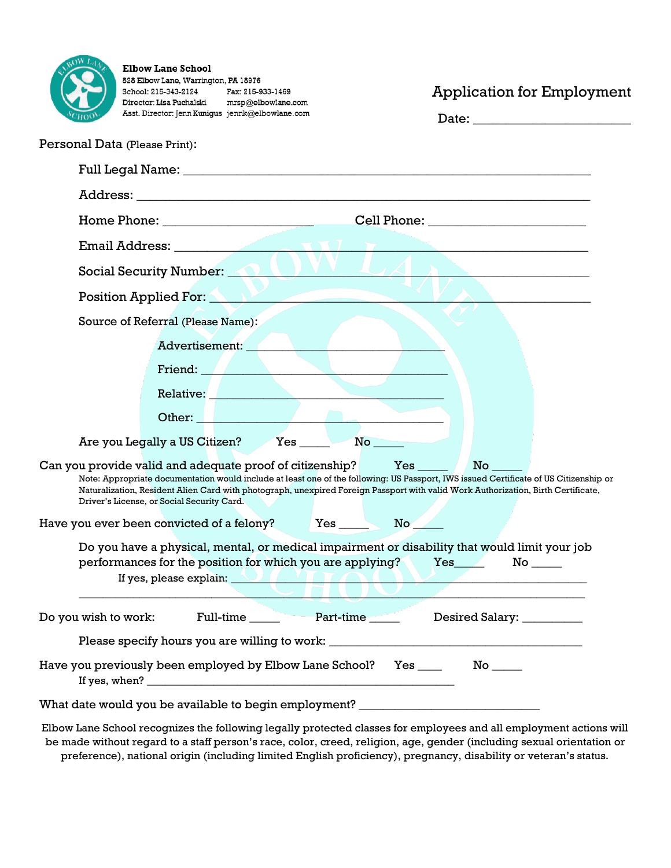

**Elbow Lane School** 828 Elbow Lane, Warrington, PA 18976 School: 215-343-2124 Fax: 215-933-1469 Director: Lisa Puchalski mrsp@elbowlane.com Asst. Director: Jenn Kunigus jennk@elbowlane.com

## Application for Employment

| Date: |  |  |  |
|-------|--|--|--|
|       |  |  |  |

| Personal Data (Please Print):                                                                                                                                                                                                                                                                                                                                                                          |  |  |  |  |
|--------------------------------------------------------------------------------------------------------------------------------------------------------------------------------------------------------------------------------------------------------------------------------------------------------------------------------------------------------------------------------------------------------|--|--|--|--|
|                                                                                                                                                                                                                                                                                                                                                                                                        |  |  |  |  |
|                                                                                                                                                                                                                                                                                                                                                                                                        |  |  |  |  |
|                                                                                                                                                                                                                                                                                                                                                                                                        |  |  |  |  |
|                                                                                                                                                                                                                                                                                                                                                                                                        |  |  |  |  |
| Social Security Number: ALLUV                                                                                                                                                                                                                                                                                                                                                                          |  |  |  |  |
| Position Applied For:                                                                                                                                                                                                                                                                                                                                                                                  |  |  |  |  |
| Source of Referral (Please Name):                                                                                                                                                                                                                                                                                                                                                                      |  |  |  |  |
| Advertisement:                                                                                                                                                                                                                                                                                                                                                                                         |  |  |  |  |
| Friend: <b>All Primes and Primes and Primes and Primes and Primes and Primes and Primes and Primes and Primes and Primes and Primes and Primes and Primes and Primes and Primes and Primes and Primes and Primes and Primes and </b>                                                                                                                                                                   |  |  |  |  |
| Relative: <u>New York and the Community of the Community of the Community of the Community of the Community of the Community of the Community of the Community of the Community of the Community of the Community of the Communi</u>                                                                                                                                                                   |  |  |  |  |
| Other:                                                                                                                                                                                                                                                                                                                                                                                                 |  |  |  |  |
| Are you Legally a US Citizen? Yes<br>$\mathbf{No}$                                                                                                                                                                                                                                                                                                                                                     |  |  |  |  |
| Can you provide valid and adequate proof of citizenship?<br>Yes<br>No l<br>Note: Appropriate documentation would include at least one of the following: US Passport, IWS issued Certificate of US Citizenship or<br>Naturalization, Resident Alien Card with photograph, unexpired Foreign Passport with valid Work Authorization, Birth Certificate,<br>Driver's License, or Social Security Card.    |  |  |  |  |
|                                                                                                                                                                                                                                                                                                                                                                                                        |  |  |  |  |
| Do you have a physical, mental, or medical impairment or disability that would limit your job<br>performances for the position for which you are applying? Yes<br>If yes, please explain: <b>And the set of the set of the set of the set of the set of the set of the set of the set of the set of the set of the set of the set of the set of the set of the set of the set of the set of the se</b> |  |  |  |  |
| Full-time<br>Part-time<br>Do you wish to work:<br>Desired Salary: __________                                                                                                                                                                                                                                                                                                                           |  |  |  |  |
| Please specify hours you are willing to work: __________________________________                                                                                                                                                                                                                                                                                                                       |  |  |  |  |
| Have you previously been employed by Elbow Lane School?      Yes _____        No _____                                                                                                                                                                                                                                                                                                                 |  |  |  |  |
| What date would you be available to begin employment? __________________________                                                                                                                                                                                                                                                                                                                       |  |  |  |  |
| $\mathbf{r} = \mathbf{r} \cdot \mathbf{r}$                                                                                                                                                                                                                                                                                                                                                             |  |  |  |  |

Elbow Lane School recognizes the following legally protected classes for employees and all employment actions will be made without regard to a staff person's race, color, creed, religion, age, gender (including sexual orientation or preference), national origin (including limited English proficiency), pregnancy, disability or veteran's status.